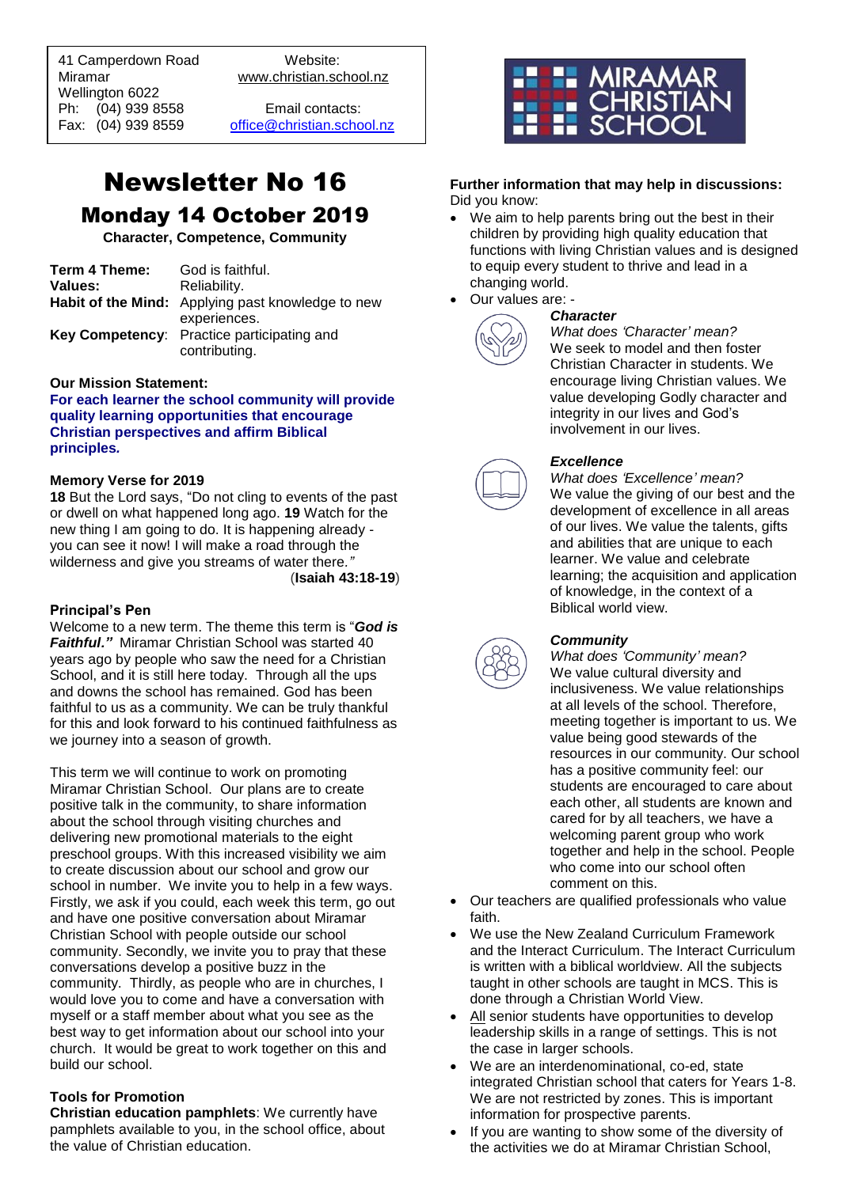41 Camperdown Road Website:<br>Miramar Www.christian.sc Wellington 6022 Ph: (04) 939 8558 Email contacts:

 $\overline{a}$ 

www.christian.school.nz

Fax: (04) 939 8559 [office@christian.school.nz](mailto:office@christian.school.nz)

# Newsletter No 16 Monday 14 October 2019

**Character, Competence, Community**

| Term 4 Theme: | God is faithful.                                         |
|---------------|----------------------------------------------------------|
| Values:       | Reliability.                                             |
|               | <b>Habit of the Mind:</b> Applying past knowledge to new |
|               | experiences.                                             |
|               | Key Competency: Practice participating and               |
|               | contributing.                                            |

#### **Our Mission Statement:**

**For each learner the school community will provide quality learning opportunities that encourage Christian perspectives and affirm Biblical principles***.*

#### **Memory Verse for 2019**

**18** But the Lord says, "Do not cling to events of the past or dwell on what happened long ago. **19** Watch for the new thing I am going to do. It is happening already you can see it now! I will make a road through the wilderness and give you streams of water there*."*

(**Isaiah 43:18-19**)

#### **Principal's Pen**

Welcome to a new term. The theme this term is "*God is Faithful."* Miramar Christian School was started 40 years ago by people who saw the need for a Christian School, and it is still here today. Through all the ups and downs the school has remained. God has been faithful to us as a community. We can be truly thankful for this and look forward to his continued faithfulness as we journey into a season of growth.

This term we will continue to work on promoting Miramar Christian School. Our plans are to create positive talk in the community, to share information about the school through visiting churches and delivering new promotional materials to the eight preschool groups. With this increased visibility we aim to create discussion about our school and grow our school in number. We invite you to help in a few ways. Firstly, we ask if you could, each week this term, go out and have one positive conversation about Miramar Christian School with people outside our school community. Secondly, we invite you to pray that these conversations develop a positive buzz in the community. Thirdly, as people who are in churches, I would love you to come and have a conversation with myself or a staff member about what you see as the best way to get information about our school into your church. It would be great to work together on this and build our school.

#### **Tools for Promotion**

**Christian education pamphlets**: We currently have pamphlets available to you, in the school office, about the value of Christian education.



#### **Further information that may help in discussions:** Did you know:

- We aim to help parents bring out the best in their children by providing high quality education that functions with living Christian values and is designed to equip every student to thrive and lead in a changing world.
	- Our values are: -



### *Character*

*What does 'Character' mean?* We seek to model and then foster Christian Character in students. We encourage living Christian values. We value developing Godly character and integrity in our lives and God's involvement in our lives.

#### *Excellence*

*What does 'Excellence' mean?* We value the giving of our best and the development of excellence in all areas of our lives. We value the talents, gifts and abilities that are unique to each learner. We value and celebrate learning; the acquisition and application of knowledge, in the context of a Biblical world view.

#### *Community*

*What does 'Community' mean?* We value cultural diversity and inclusiveness. We value relationships at all levels of the school. Therefore, meeting together is important to us. We value being good stewards of the resources in our community. Our school has a positive community feel: our students are encouraged to care about each other, all students are known and cared for by all teachers, we have a welcoming parent group who work together and help in the school. People who come into our school often comment on this.

- Our teachers are qualified professionals who value faith.
- We use the New Zealand Curriculum Framework and the Interact Curriculum. The Interact Curriculum is written with a biblical worldview. All the subjects taught in other schools are taught in MCS. This is done through a Christian World View.
- All senior students have opportunities to develop leadership skills in a range of settings. This is not the case in larger schools.
- We are an interdenominational, co-ed, state integrated Christian school that caters for Years 1-8. We are not restricted by zones. This is important information for prospective parents.
- If you are wanting to show some of the diversity of the activities we do at Miramar Christian School,



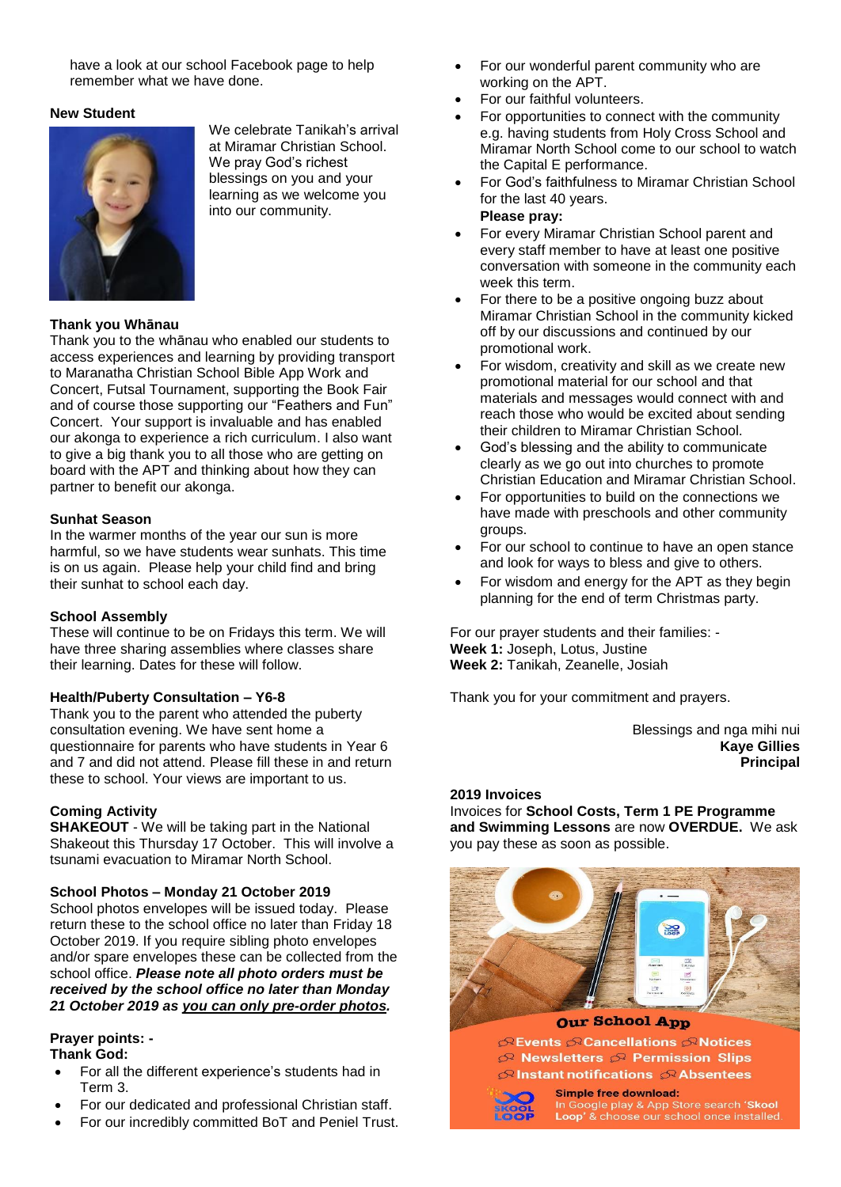have a look at our school Facebook page to help remember what we have done.

#### **New Student**



We celebrate Tanikah's arrival at Miramar Christian School. We pray God's richest blessings on you and your learning as we welcome you into our community.

#### **Thank you Whānau**

Thank you to the whānau who enabled our students to access experiences and learning by providing transport to Maranatha Christian School Bible App Work and Concert, Futsal Tournament, supporting the Book Fair and of course those supporting our "Feathers and Fun" Concert. Your support is invaluable and has enabled our akonga to experience a rich curriculum. I also want to give a big thank you to all those who are getting on board with the APT and thinking about how they can partner to benefit our akonga.

#### **Sunhat Season**

In the warmer months of the year our sun is more harmful, so we have students wear sunhats. This time is on us again. Please help your child find and bring their sunhat to school each day.

#### **School Assembly**

These will continue to be on Fridays this term. We will have three sharing assemblies where classes share their learning. Dates for these will follow.

#### **Health/Puberty Consultation – Y6-8**

Thank you to the parent who attended the puberty consultation evening. We have sent home a questionnaire for parents who have students in Year 6 and 7 and did not attend. Please fill these in and return these to school. Your views are important to us.

#### **Coming Activity**

**SHAKEOUT** - We will be taking part in the National Shakeout this Thursday 17 October. This will involve a tsunami evacuation to Miramar North School.

#### **School Photos – Monday 21 October 2019**

School photos envelopes will be issued today. Please return these to the school office no later than Friday 18 October 2019. If you require sibling photo envelopes and/or spare envelopes these can be collected from the school office. *Please note all photo orders must be received by the school office no later than Monday 21 October 2019 as you can only pre-order photos.*

#### **Prayer points: - Thank God:**

- For all the different experience's students had in Term 3.
- For our dedicated and professional Christian staff.
- For our incredibly committed BoT and Peniel Trust.
- For our wonderful parent community who are working on the APT.
- For our faithful volunteers.
- For opportunities to connect with the community e.g. having students from Holy Cross School and Miramar North School come to our school to watch the Capital E performance.
- For God's faithfulness to Miramar Christian School for the last 40 years.

#### **Please pray:**

- For every Miramar Christian School parent and every staff member to have at least one positive conversation with someone in the community each week this term.
- For there to be a positive ongoing buzz about Miramar Christian School in the community kicked off by our discussions and continued by our promotional work.
- For wisdom, creativity and skill as we create new promotional material for our school and that materials and messages would connect with and reach those who would be excited about sending their children to Miramar Christian School.
- God's blessing and the ability to communicate clearly as we go out into churches to promote Christian Education and Miramar Christian School.
- For opportunities to build on the connections we have made with preschools and other community groups.
- For our school to continue to have an open stance and look for ways to bless and give to others.
- For wisdom and energy for the APT as they begin planning for the end of term Christmas party.

For our prayer students and their families: - **Week 1:** Joseph, Lotus, Justine **Week 2:** Tanikah, Zeanelle, Josiah

Thank you for your commitment and prayers.

Blessings and nga mihi nui **Kaye Gillies Principal**

#### **2019 Invoices**

Invoices for **School Costs, Term 1 PE Programme and Swimming Lessons** are now **OVERDUE.** We ask you pay these as soon as possible.